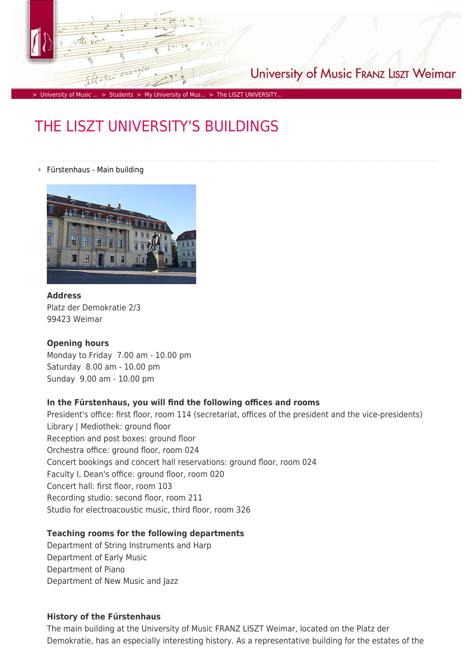

University of Music FRANZ LISZT Weimar

> [University of Music ...](https://www.hfm-weimar.de/start/?L=1) > [Students](https://www.hfm-weimar.de/students/aktuelles/?L=1) > [My University of Mus...](https://www.hfm-weimar.de/students/my-university-of-music/?L=1) > The LISZT UNIVERSITY.

# THE LISZT UNIVERSITY'S BUILDINGS

#### Fürstenhaus - Main building



**Address** Platz der Demokratie 2/3 99423 Weimar

#### **Opening hours**

Monday to Friday 7.00 am - 10.00 pm Saturday 8.00 am - 10.00 pm Sunday 9.00 am - 10.00 pm

#### **In the Fürstenhaus, you will find the following offices and rooms**

President's office: first floor, room 114 (secretariat, offices of the president and the vice-presidents) Library | Mediothek: ground floor Reception and post boxes: ground floor Orchestra office: ground floor, room 024 Concert bookings and concert hall reservations: ground floor, room 024 Faculty I, Dean's office: ground floor, room 020 Concert hall: first floor, room 103 Recording studio: second floor, room 211 Studio for electroacoustic music, third floor, room 326

### **Teaching rooms for the following departments**

Department of String Instruments and Harp Department of Early Music Department of Piano Department of New Music and Jazz

#### **History of the Fürstenhaus**

The main building at the University of Music FRANZ LISZT Weimar, located on the Platz der Demokratie, has an especially interesting history. As a representative building for the estates of the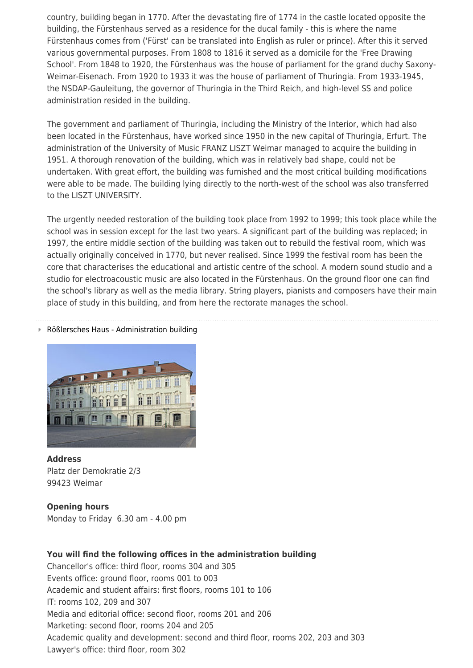country, building began in 1770. After the devastating fire of 1774 in the castle located opposite the building, the Fürstenhaus served as a residence for the ducal family - this is where the name Fürstenhaus comes from ('Fürst' can be translated into English as ruler or prince). After this it served various governmental purposes. From 1808 to 1816 it served as a domicile for the 'Free Drawing School'. From 1848 to 1920, the Fürstenhaus was the house of parliament for the grand duchy Saxony-Weimar-Eisenach. From 1920 to 1933 it was the house of parliament of Thuringia. From 1933-1945, the NSDAP-Gauleitung, the governor of Thuringia in the Third Reich, and high-level SS and police administration resided in the building.

The government and parliament of Thuringia, including the Ministry of the Interior, which had also been located in the Fürstenhaus, have worked since 1950 in the new capital of Thuringia, Erfurt. The administration of the University of Music FRANZ LISZT Weimar managed to acquire the building in 1951. A thorough renovation of the building, which was in relatively bad shape, could not be undertaken. With great effort, the building was furnished and the most critical building modifications were able to be made. The building lying directly to the north-west of the school was also transferred to the LISZT UNIVERSITY.

The urgently needed restoration of the building took place from 1992 to 1999; this took place while the school was in session except for the last two years. A significant part of the building was replaced; in 1997, the entire middle section of the building was taken out to rebuild the festival room, which was actually originally conceived in 1770, but never realised. Since 1999 the festival room has been the core that characterises the educational and artistic centre of the school. A modern sound studio and a studio for electroacoustic music are also located in the Fürstenhaus. On the ground floor one can find the school's library as well as the media library. String players, pianists and composers have their main place of study in this building, and from here the rectorate manages the school.

#### Rößlersches Haus - Administration building



#### **Address**

Platz der Demokratie 2/3 99423 Weimar

# **Opening hours**

Monday to Friday 6.30 am - 4.00 pm

# **You will find the following offices in the administration building**

Chancellor's office: third floor, rooms 304 and 305 Events office: ground floor, rooms 001 to 003 Academic and student affairs: first floors, rooms 101 to 106 IT: rooms 102, 209 and 307 Media and editorial office: second floor, rooms 201 and 206 Marketing: second floor, rooms 204 and 205 Academic quality and development: second and third floor, rooms 202, 203 and 303 Lawyer's office: third floor, room 302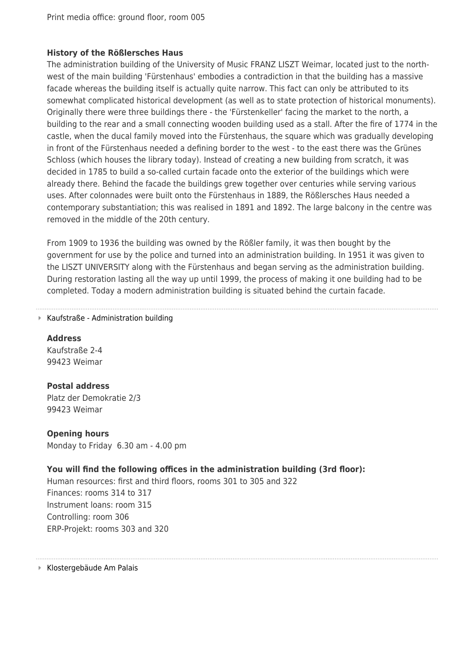## **History of the Rößlersches Haus**

The administration building of the University of Music FRANZ LISZT Weimar, located just to the northwest of the main building 'Fürstenhaus' embodies a contradiction in that the building has a massive facade whereas the building itself is actually quite narrow. This fact can only be attributed to its somewhat complicated historical development (as well as to state protection of historical monuments). Originally there were three buildings there - the 'Fürstenkeller' facing the market to the north, a building to the rear and a small connecting wooden building used as a stall. After the fire of 1774 in the castle, when the ducal family moved into the Fürstenhaus, the square which was gradually developing in front of the Fürstenhaus needed a defining border to the west - to the east there was the Grünes Schloss (which houses the library today). Instead of creating a new building from scratch, it was decided in 1785 to build a so-called curtain facade onto the exterior of the buildings which were already there. Behind the facade the buildings grew together over centuries while serving various uses. After colonnades were built onto the Fürstenhaus in 1889, the Rößlersches Haus needed a contemporary substantiation; this was realised in 1891 and 1892. The large balcony in the centre was removed in the middle of the 20th century.

From 1909 to 1936 the building was owned by the Rößler family, it was then bought by the government for use by the police and turned into an administration building. In 1951 it was given to the LISZT UNIVERSITY along with the Fürstenhaus and began serving as the administration building. During restoration lasting all the way up until 1999, the process of making it one building had to be completed. Today a modern administration building is situated behind the curtain facade.

#### ■ Kaufstraße - Administration building

**Address** Kaufstraße 2-4 99423 Weimar

**Postal address** Platz der Demokratie 2/3 99423 Weimar

**Opening hours** Monday to Friday 6.30 am - 4.00 pm

# **You will find the following offices in the administration building (3rd floor):**

Human resources: first and third floors, rooms 301 to 305 and 322 Finances: rooms 314 to 317 Instrument loans: room 315 Controlling: room 306 ERP-Projekt: rooms 303 and 320

Klostergebäude Am Palais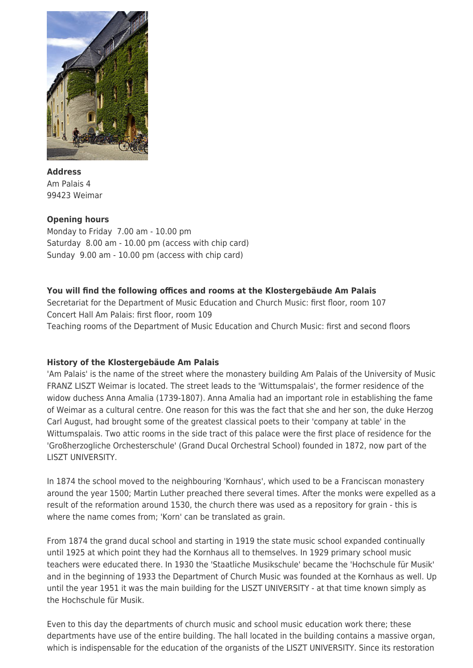

# **Address** Am Palais 4 99423 Weimar

# **Opening hours**

Monday to Friday 7.00 am - 10.00 pm Saturday 8.00 am - 10.00 pm (access with chip card) Sunday 9.00 am - 10.00 pm (access with chip card)

# **You will find the following offices and rooms at the Klostergebäude Am Palais**

Secretariat for the Department of Music Education and Church Music: first floor, room 107 Concert Hall Am Palais: first floor, room 109 Teaching rooms of the Department of Music Education and Church Music: first and second floors

# **History of the Klostergebäude Am Palais**

'Am Palais' is the name of the street where the monastery building Am Palais of the University of Music FRANZ LISZT Weimar is located. The street leads to the 'Wittumspalais', the former residence of the widow duchess Anna Amalia (1739-1807). Anna Amalia had an important role in establishing the fame of Weimar as a cultural centre. One reason for this was the fact that she and her son, the duke Herzog Carl August, had brought some of the greatest classical poets to their 'company at table' in the Wittumspalais. Two attic rooms in the side tract of this palace were the first place of residence for the 'Großherzogliche Orchesterschule' (Grand Ducal Orchestral School) founded in 1872, now part of the LISZT UNIVERSITY.

In 1874 the school moved to the neighbouring 'Kornhaus', which used to be a Franciscan monastery around the year 1500; Martin Luther preached there several times. After the monks were expelled as a result of the reformation around 1530, the church there was used as a repository for grain - this is where the name comes from; 'Korn' can be translated as grain.

From 1874 the grand ducal school and starting in 1919 the state music school expanded continually until 1925 at which point they had the Kornhaus all to themselves. In 1929 primary school music teachers were educated there. In 1930 the 'Staatliche Musikschule' became the 'Hochschule für Musik' and in the beginning of 1933 the Department of Church Music was founded at the Kornhaus as well. Up until the year 1951 it was the main building for the LISZT UNIVERSITY - at that time known simply as the Hochschule für Musik.

Even to this day the departments of church music and school music education work there; these departments have use of the entire building. The hall located in the building contains a massive organ, which is indispensable for the education of the organists of the LISZT UNIVERSITY. Since its restoration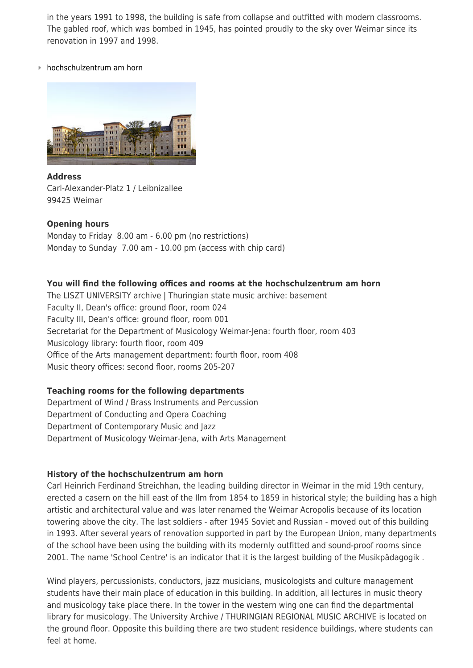in the years 1991 to 1998, the building is safe from collapse and outfitted with modern classrooms. The gabled roof, which was bombed in 1945, has pointed proudly to the sky over Weimar since its renovation in 1997 and 1998.

hochschulzentrum am horn



**Address** Carl-Alexander-Platz 1 / Leibnizallee 99425 Weimar

## **Opening hours**

Monday to Friday 8.00 am - 6.00 pm (no restrictions) Monday to Sunday 7.00 am - 10.00 pm (access with chip card)

## **You will find the following offices and rooms at the hochschulzentrum am horn**

The LISZT UNIVERSITY archive | Thuringian state music archive: basement Faculty II, Dean's office: ground floor, room 024 Faculty III, Dean's office: ground floor, room 001 Secretariat for the Department of Musicology Weimar-Jena: fourth floor, room 403 Musicology library: fourth floor, room 409 Office of the Arts management department: fourth floor, room 408 Music theory offices: second floor, rooms 205-207

#### **Teaching rooms for the following departments**

Department of Wind / Brass Instruments and Percussion Department of Conducting and Opera Coaching Department of Contemporary Music and Jazz Department of Musicology Weimar-Jena, with Arts Management

#### **History of the hochschulzentrum am horn**

Carl Heinrich Ferdinand Streichhan, the leading building director in Weimar in the mid 19th century, erected a casern on the hill east of the Ilm from 1854 to 1859 in historical style; the building has a high artistic and architectural value and was later renamed the Weimar Acropolis because of its location towering above the city. The last soldiers - after 1945 Soviet and Russian - moved out of this building in 1993. After several years of renovation supported in part by the European Union, many departments of the school have been using the building with its modernly outfitted and sound-proof rooms since 2001. The name 'School Centre' is an indicator that it is the largest building of the Musikpädagogik .

Wind players, percussionists, conductors, jazz musicians, musicologists and culture management students have their main place of education in this building. In addition, all lectures in music theory and musicology take place there. In the tower in the western wing one can find the departmental library for musicology. The University Archive / THURINGIAN REGIONAL MUSIC ARCHIVE is located on the ground floor. Opposite this building there are two student residence buildings, where students can feel at home.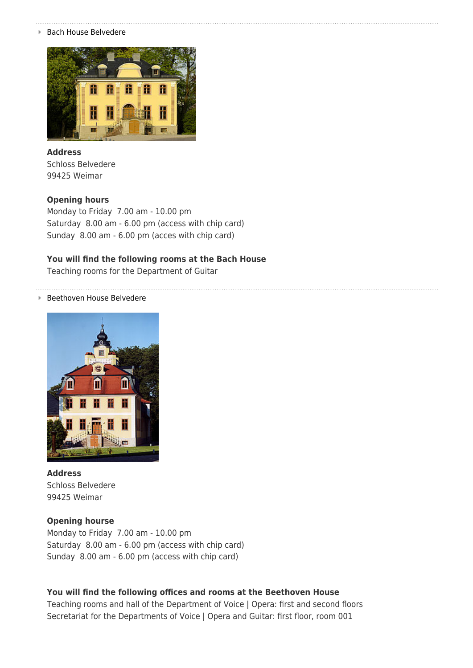■ Bach House Belvedere



# **Address** Schloss Belvedere 99425 Weimar

#### **Opening hours**

Monday to Friday 7.00 am - 10.00 pm Saturday 8.00 am - 6.00 pm (access with chip card) Sunday 8.00 am - 6.00 pm (acces with chip card)

### **You will find the following rooms at the Bach House**

Teaching rooms for the Department of Guitar

#### Beethoven House Belvedere



**Address** Schloss Belvedere 99425 Weimar

#### **Opening hourse**

Monday to Friday 7.00 am - 10.00 pm Saturday 8.00 am - 6.00 pm (access with chip card) Sunday 8.00 am - 6.00 pm (access with chip card)

#### **You will find the following offices and rooms at the Beethoven House**

Teaching rooms and hall of the Department of Voice | Opera: first and second floors Secretariat for the Departments of Voice | Opera and Guitar: first floor, room 001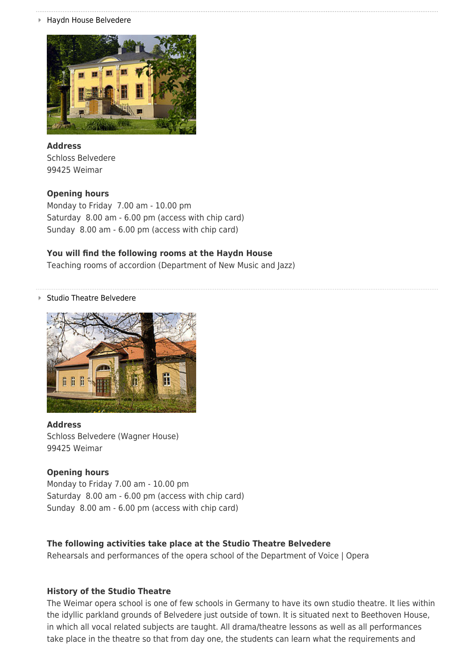Haydn House Belvedere



**Address** Schloss Belvedere 99425 Weimar

## **Opening hours**

Monday to Friday 7.00 am - 10.00 pm Saturday 8.00 am - 6.00 pm (access with chip card) Sunday 8.00 am - 6.00 pm (access with chip card)

## **You will find the following rooms at the Haydn House**

Teaching rooms of accordion (Department of New Music and Jazz)

#### Studio Theatre Belvedere



#### **Address**

Schloss Belvedere (Wagner House) 99425 Weimar

#### **Opening hours**

Monday to Friday 7.00 am - 10.00 pm Saturday 8.00 am - 6.00 pm (access with chip card) Sunday 8.00 am - 6.00 pm (access with chip card)

#### **The following activities take place at the Studio Theatre Belvedere**

Rehearsals and performances of the opera school of the Department of Voice | Opera

#### **History of the Studio Theatre**

The Weimar opera school is one of few schools in Germany to have its own studio theatre. It lies within the idyllic parkland grounds of Belvedere just outside of town. It is situated next to Beethoven House, in which all vocal related subjects are taught. All drama/theatre lessons as well as all performances take place in the theatre so that from day one, the students can learn what the requirements and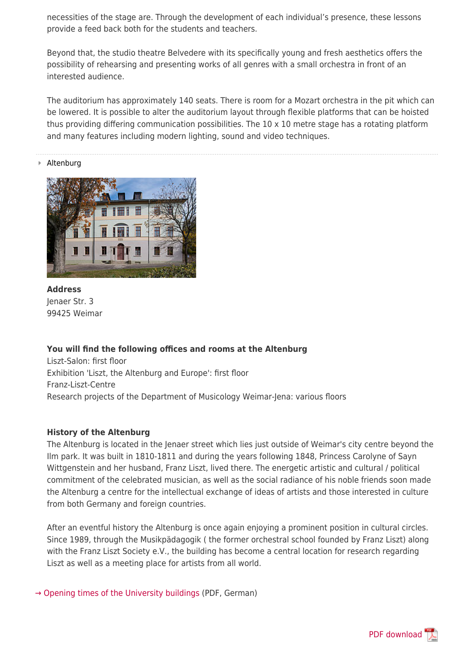necessities of the stage are. Through the development of each individual's presence, these lessons provide a feed back both for the students and teachers.

Beyond that, the studio theatre Belvedere with its specifically young and fresh aesthetics offers the possibility of rehearsing and presenting works of all genres with a small orchestra in front of an interested audience.

The auditorium has approximately 140 seats. There is room for a Mozart orchestra in the pit which can be lowered. It is possible to alter the auditorium layout through flexible platforms that can be hoisted thus providing differing communication possibilities. The 10 x 10 metre stage has a rotating platform and many features including modern lighting, sound and video techniques.

#### Altenburg



**Address** Jenaer Str. 3 99425 Weimar

#### **You will find the following offices and rooms at the Altenburg**

Liszt-Salon: first floor Exhibition 'Liszt, the Altenburg and Europe': first floor Franz-Liszt-Centre Research projects of the Department of Musicology Weimar-Jena: various floors

#### **History of the Altenburg**

The Altenburg is located in the Jenaer street which lies just outside of Weimar's city centre beyond the Ilm park. It was built in 1810-1811 and during the years following 1848, Princess Carolyne of Sayn Wittgenstein and her husband, Franz Liszt, lived there. The energetic artistic and cultural / political commitment of the celebrated musician, as well as the social radiance of his noble friends soon made the Altenburg a centre for the intellectual exchange of ideas of artists and those interested in culture from both Germany and foreign countries.

After an eventful history the Altenburg is once again enjoying a prominent position in cultural circles. Since 1989, through the Musikpädagogik ( the former orchestral school founded by Franz Liszt) along with the Franz Liszt Society e.V., the building has become a central location for research regarding Liszt as well as a meeting place for artists from all world.

 $\rightarrow$  Opening times of the University buildings (PDF, German)